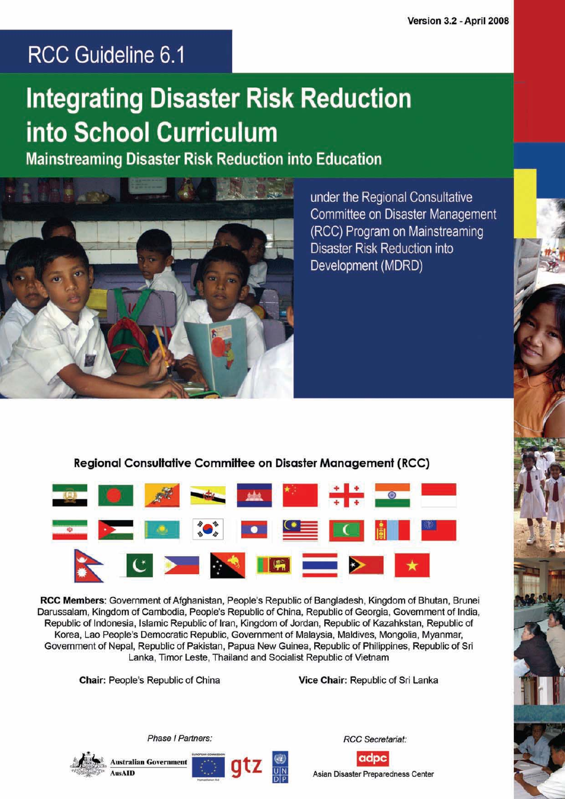## RCC Guideline 6.1

# **Integrating Disaster Risk Reduction** into School Curriculum

**Mainstreaming Disaster Risk Reduction into Education** 



under the Regional Consultative Committee on Disaster Management (RCC) Program on Mainstreaming Disaster Risk Reduction into Development (MDRD)

**Regional Consultative Committee on Disaster Management (RCC)** 



RCC Members: Government of Afghanistan, People's Republic of Bangladesh, Kingdom of Bhutan, Brunei Darussalam, Kingdom of Cambodia, People's Republic of China, Republic of Georgia, Government of India, Republic of Indonesia, Islamic Republic of Iran, Kingdom of Jordan, Republic of Kazahkstan, Republic of Korea, Lao People's Democratic Republic, Government of Malaysia, Maldives, Mongolia, Myanmar, Government of Nepal, Republic of Pakistan, Papua New Guinea, Republic of Philippines, Republic of Sri Lanka, Timor Leste, Thailand and Socialist Republic of Vietnam

Chair: People's Republic of China

Vice Chair: Republic of Sri Lanka



**RCC** Secretariat:

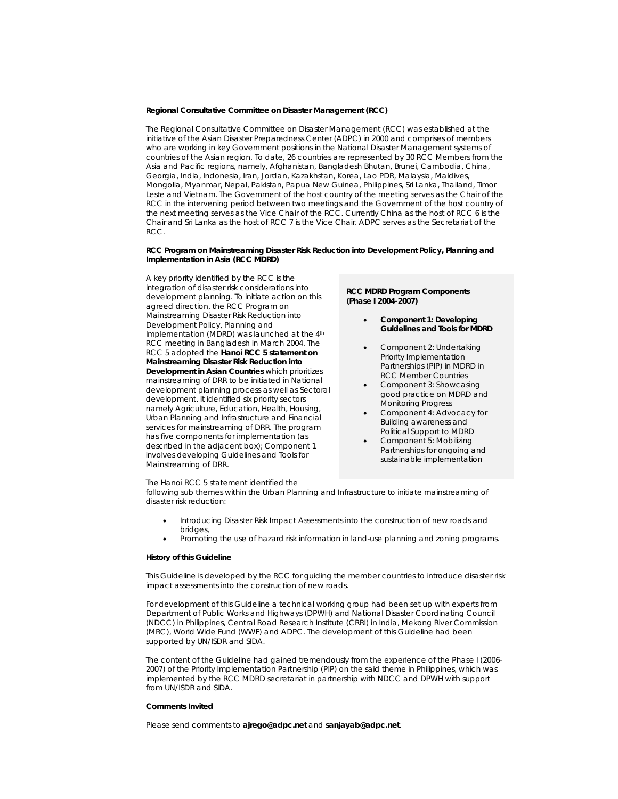### **Regional Consultative Committee on Disaster Management (RCC)**

The Regional Consultative Committee on Disaster Management (RCC) was established at the initiative of the Asian Disaster Preparedness Center (ADPC) in 2000 and comprises of members who are working in key Government positions in the National Disaster Management systems of countries of the Asian region. To date, 26 countries are represented by 30 RCC Members from the Asia and Pacific regions, namely, Afghanistan, Bangladesh Bhutan, Brunei, Cambodia, China, Georgia, India, Indonesia, Iran, Jordan, Kazakhstan, Korea, Lao PDR, Malaysia, Maldives, Mongolia, Myanmar, Nepal, Pakistan, Papua New Guinea, Philippines, Sri Lanka, Thailand, Timor Leste and Vietnam. The Government of the host country of the meeting serves as the Chair of the RCC in the intervening period between two meetings and the Government of the host country of the next meeting serves as the Vice Chair of the RCC. Currently China as the host of RCC 6 is the Chair and Sri Lanka as the host of RCC 7 is the Vice Chair. ADPC serves as the Secretariat of the RCC.

### **RCC Program on Mainstreaming Disaster Risk Reduction into Development Policy, Planning and Implementation in Asia (RCC MDRD)**

A key priority identified by the RCC is the integration of disaster risk considerations into development planning. To initiate action on this agreed direction, the RCC Program on Mainstreaming Disaster Risk Reduction into Development Policy, Planning and Implementation (MDRD) was launched at the 4th RCC meeting in Bangladesh in March 2004. The RCC 5 adopted the **Hanoi RCC 5 statement on Mainstreaming Disaster Risk Reduction into Development in Asian Countries** which prioritizes mainstreaming of DRR to be initiated in National development planning process as well as Sectoral development. It identified six priority sectors namely Agriculture, Education, Health, Housing, Urban Planning and Infrastructure and Financial services for mainstreaming of DRR. The program has five components for implementation (as described in the adjacent box); Component 1 involves developing Guidelines and Tools for Mainstreaming of DRR.

### **RCC MDRD Program Components (Phase I 2004-2007)**

- **Component 1: Developing Guidelines and Tools for MDRD**
- Component 2: Undertaking Priority Implementation Partnerships (PIP) in MDRD in RCC Member Countries
- Component 3: Showcasing good practice on MDRD and Monitoring Progress
- Component 4: Advocacy for Building awareness and Political Support to MDRD
- Component 5: Mobilizing Partnerships for ongoing and sustainable implementation

The Hanoi RCC 5 statement identified the

following sub themes within the Urban Planning and Infrastructure to initiate mainstreaming of disaster risk reduction:

- Introducing Disaster Risk Impact Assessments into the construction of new roads and bridges,
- Promoting the use of hazard risk information in land-use planning and zoning programs.

### **History of this Guideline**

This Guideline is developed by the RCC for guiding the member countries to introduce disaster risk impact assessments into the construction of new roads.

For development of this Guideline a technical working group had been set up with experts from Department of Public Works and Highways (DPWH) and National Disaster Coordinating Council (NDCC) in Philippines, Central Road Research Institute (CRRI) in India, Mekong River Commission (MRC), World Wide Fund (WWF) and ADPC. The development of this Guideline had been supported by UN/ISDR and SIDA.

The content of the Guideline had gained tremendously from the experience of the Phase I (2006- 2007) of the Priority Implementation Partnership (PIP) on the said theme in Philippines, which was implemented by the RCC MDRD secretariat in partnership with NDCC and DPWH with support from UN/ISDR and SIDA.

### **Comments Invited**

Please send comments to *ajrego@adpc.net and sanjayab@adpc.net*.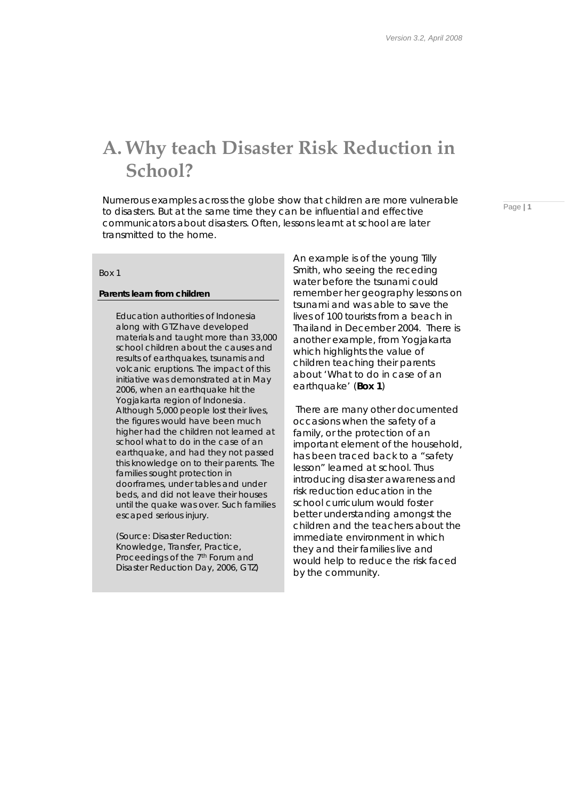## **A. Why teach Disaster Risk Reduction in School?**

Numerous examples across the globe show that children are more vulnerable to disasters. But at the same time they can be influential and effective communicators about disasters. Often, lessons learnt at school are later transmitted to the home.

Page **| 1**

### *Box 1*

### *Parents learn from children*

Education authorities of Indonesia along with GTZ have developed materials and taught more than 33,000 school children about the causes and results of earthquakes, tsunamis and volcanic eruptions. The impact of this initiative was demonstrated at in May 2006, when an earthquake hit the Yogjakarta region of Indonesia. Although 5,000 people lost their lives, the figures would have been much higher had the children not learned at school what to do in the case of an earthquake, and had they not passed this knowledge on to their parents. The families sought protection in doorframes, under tables and under beds, and did not leave their houses until the quake was over. Such families escaped serious injury.

*(Source: Disaster Reduction: Knowledge, Transfer, Practice, Proceedings of the 7th Forum and Disaster Reduction Day, 2006, GTZ)* 

An example is of the young Tilly Smith, who seeing the receding water before the tsunami could remember her geography lessons on tsunami and was able to save the lives of 100 tourists from a beach in Thailand in December 2004. There is another example, from Yogjakarta which highlights the value of children teaching their parents about 'What to do in case of an earthquake' (*Box 1*)

 There are many other documented occasions when the safety of a family, or the protection of an important element of the household, has been traced back to a "safety lesson" learned at school. Thus introducing disaster awareness and risk reduction education in the school curriculum would foster better understanding amongst the children and the teachers about the immediate environment in which they and their families live and would help to reduce the risk faced by the community.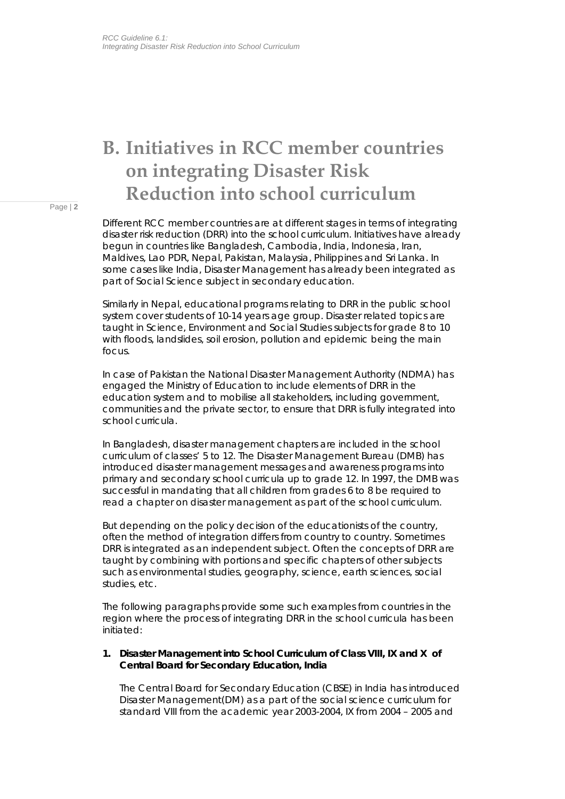## **B. Initiatives in RCC member countries on integrating Disaster Risk Reduction into school curriculum**

Page | **2**

Different RCC member countries are at different stages in terms of integrating disaster risk reduction (DRR) into the school curriculum. Initiatives have already begun in countries like Bangladesh, Cambodia, India, Indonesia, Iran, Maldives, Lao PDR, Nepal, Pakistan, Malaysia, Philippines and Sri Lanka. In some cases like India, Disaster Management has already been integrated as part of Social Science subject in secondary education.

Similarly in Nepal, educational programs relating to DRR in the public school system cover students of 10-14 years age group. Disaster related topics are taught in Science, Environment and Social Studies subjects for grade 8 to 10 with floods, landslides, soil erosion, pollution and epidemic being the main focus.

In case of Pakistan the National Disaster Management Authority (NDMA) has engaged the Ministry of Education to include elements of DRR in the education system and to mobilise all stakeholders, including government, communities and the private sector, to ensure that DRR is fully integrated into school curricula.

In Bangladesh, disaster management chapters are included in the school curriculum of classes' 5 to 12. The Disaster Management Bureau (DMB) has introduced disaster management messages and awareness programs into primary and secondary school curricula up to grade 12. In 1997, the DMB was successful in mandating that all children from grades 6 to 8 be required to read a chapter on disaster management as part of the school curriculum.

But depending on the policy decision of the educationists of the country, often the method of integration differs from country to country. Sometimes DRR is integrated as an independent subject. Often the concepts of DRR are taught by combining with portions and specific chapters of other subjects such as environmental studies, geography, science, earth sciences, social studies, etc.

The following paragraphs provide some such examples from countries in the region where the process of integrating DRR in the school curricula has been initiated:

### **1. Disaster Management into School Curriculum of Class VIII, IX and X of Central Board for Secondary Education, India**

The Central Board for Secondary Education (CBSE) in India has introduced Disaster Management(DM) as a part of the social science curriculum for standard VIII from the academic year 2003-2004, IX from 2004 – 2005 and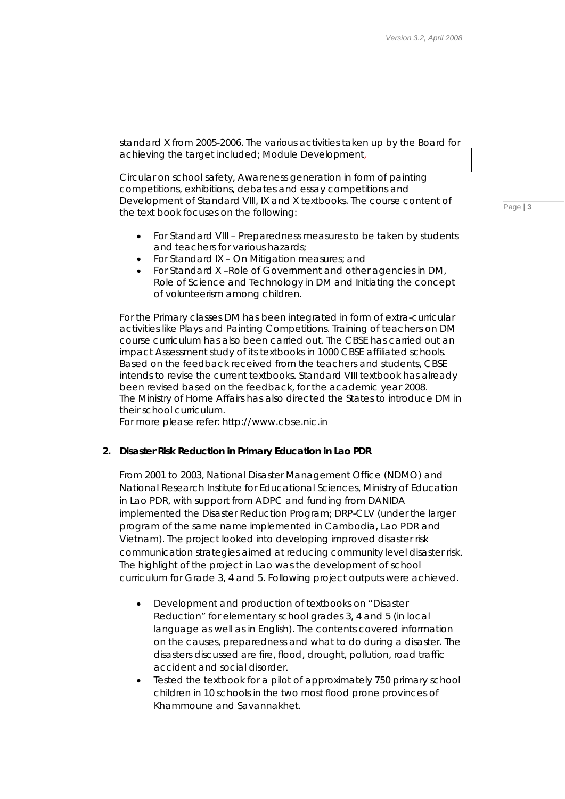standard X from 2005-2006. The various activities taken up by the Board for achieving the target included; Module Development,

Circular on school safety, Awareness generation in form of painting competitions, exhibitions, debates and essay competitions and Development of Standard VIII, IX and X textbooks. The course content of the text book focuses on the following:

- For Standard VIII Preparedness measures to be taken by students and teachers for various hazards;
- For Standard IX On Mitigation measures; and
- For Standard X –Role of Government and other agencies in DM, Role of Science and Technology in DM and Initiating the concept of volunteerism among children.

For the Primary classes DM has been integrated in form of extra-curricular activities like Plays and Painting Competitions. Training of teachers on DM course curriculum has also been carried out. The CBSE has carried out an impact Assessment study of its textbooks in 1000 CBSE affiliated schools. Based on the feedback received from the teachers and students, CBSE intends to revise the current textbooks. Standard VIII textbook has already been revised based on the feedback, for the academic year 2008. The Ministry of Home Affairs has also directed the States to introduce DM in their school curriculum.

*For more please refer: http://www.cbse.nic.in* 

### **2. Disaster Risk Reduction in Primary Education in Lao PDR**

From 2001 to 2003, National Disaster Management Office (NDMO) and National Research Institute for Educational Sciences, Ministry of Education in Lao PDR, with support from ADPC and funding from DANIDA implemented the Disaster Reduction Program; DRP-CLV (under the larger program of the same name implemented in Cambodia, Lao PDR and Vietnam). The project looked into developing improved disaster risk communication strategies aimed at reducing community level disaster risk. The highlight of the project in Lao was the development of school curriculum for Grade 3, 4 and 5. Following project outputs were achieved.

- Development and production of textbooks on "Disaster Reduction" for elementary school grades 3, 4 and 5 (in local language as well as in English). The contents covered information on the causes, preparedness and what to do during a disaster. The disasters discussed are fire, flood, drought, pollution, road traffic accident and social disorder.
- Tested the textbook for a pilot of approximately 750 primary school children in 10 schools in the two most flood prone provinces of Khammoune and Savannakhet.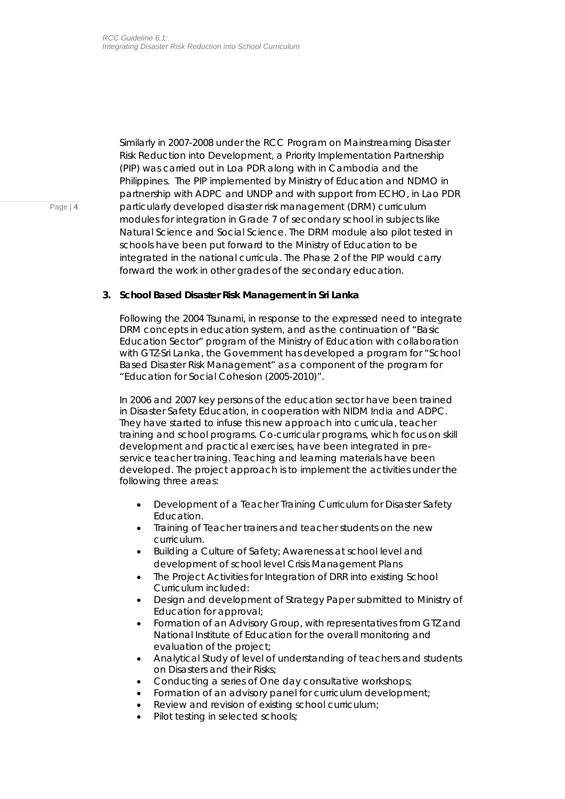Similarly in 2007-2008 under the RCC Program on Mainstreaming Disaster Risk Reduction into Development, a Priority Implementation Partnership (PIP) was carried out in Loa PDR along with in Cambodia and the Philippines. The PIP implemented by Ministry of Education and NDMO in partnership with ADPC and UNDP and with support from ECHO, in Lao PDR particularly developed disaster risk management (DRM) curriculum modules for integration in Grade 7 of secondary school in subjects like Natural Science and Social Science. The DRM module also pilot tested in schools have been put forward to the Ministry of Education to be integrated in the national curricula. The Phase 2 of the PIP would carry forward the work in other grades of the secondary education.

### **3. School Based Disaster Risk Management in Sri Lanka**

Following the 2004 Tsunami, in response to the expressed need to integrate DRM concepts in education system, and as the continuation of "Basic Education Sector" program of the Ministry of Education with collaboration with GTZ-Sri Lanka, the Government has developed a program for "School Based Disaster Risk Management" as a component of the program for "Education for Social Cohesion (2005-2010)".

In 2006 and 2007 key persons of the education sector have been trained in Disaster Safety Education, in cooperation with NIDM India and ADPC. They have started to infuse this new approach into curricula, teacher training and school programs. Co-curricular programs, which focus on skill development and practical exercises, have been integrated in preservice teacher training. Teaching and learning materials have been developed. The project approach is to implement the activities under the following three areas:

- Development of a Teacher Training Curriculum for Disaster Safety Education.
- Training of Teacher trainers and teacher students on the new curriculum.
- Building a Culture of Safety; Awareness at school level and development of school level Crisis Management Plans
- The Project Activities for Integration of DRR into existing School Curriculum included:
- Design and development of Strategy Paper submitted to Ministry of Education for approval;
- Formation of an Advisory Group, with representatives from GTZ and National Institute of Education for the overall monitoring and evaluation of the project;
- Analytical Study of level of understanding of teachers and students on Disasters and their Risks;
- Conducting a series of One day consultative workshops;
- Formation of an advisory panel for curriculum development;
- Review and revision of existing school curriculum;
- Pilot testing in selected schools;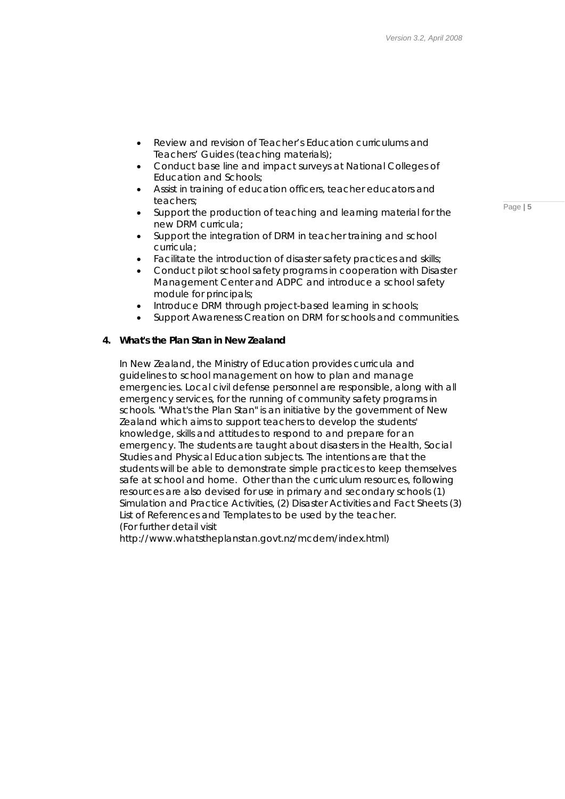- Review and revision of Teacher's Education curriculums and Teachers' Guides (teaching materials);
- Conduct base line and impact surveys at National Colleges of Education and Schools;
- Assist in training of education officers, teacher educators and teachers;
- Support the production of teaching and learning material for the new DRM curricula;
- Support the integration of DRM in teacher training and school curricula;
- Facilitate the introduction of disaster safety practices and skills;
- Conduct pilot school safety programs in cooperation with Disaster Management Center and ADPC and introduce a school safety module for principals;
- Introduce DRM through project-based learning in schools;
- Support Awareness Creation on DRM for schools and communities.

### **4. What's the Plan Stan in New Zealand**

In New Zealand, the Ministry of Education provides curricula and guidelines to school management on how to plan and manage emergencies. Local civil defense personnel are responsible, along with all emergency services, for the running of community safety programs in schools. "What's the Plan Stan" is an initiative by the government of New Zealand which aims to support teachers to develop the students' knowledge, skills and attitudes to respond to and prepare for an emergency. The students are taught about disasters in the Health, Social Studies and Physical Education subjects. The intentions are that the students will be able to demonstrate simple practices to keep themselves safe at school and home. Other than the curriculum resources, following resources are also devised for use in primary and secondary schools (1) Simulation and Practice Activities, (2) Disaster Activities and Fact Sheets (3) List of References and Templates to be used by the teacher. *(For further detail visit* 

*http://www.whatstheplanstan.govt.nz/mcdem/index.html)*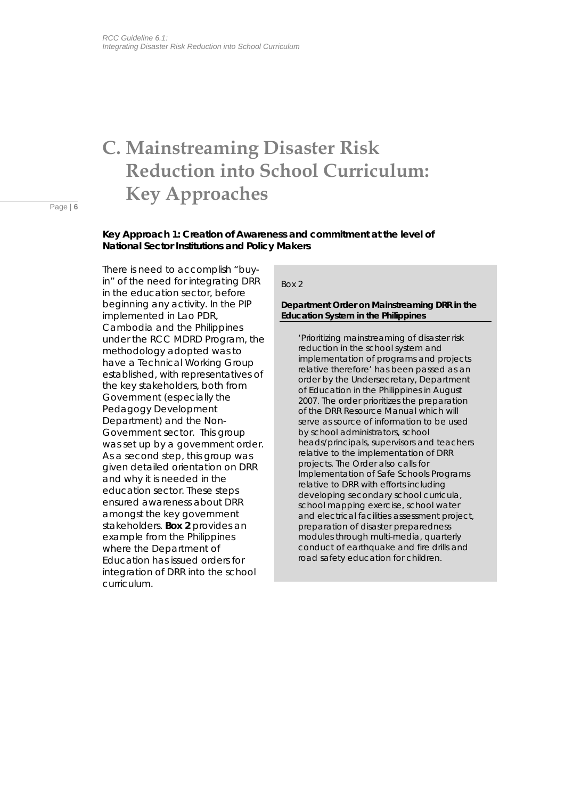## **C. Mainstreaming Disaster Risk Reduction into School Curriculum: Key Approaches**

Page | **6**

### **Key Approach 1: Creation of Awareness and commitment at the level of National Sector Institutions and Policy Makers**

There is need to accomplish "buyin" of the need for integrating DRR in the education sector, before beginning any activity. In the PIP implemented in Lao PDR, Cambodia and the Philippines under the RCC MDRD Program, the methodology adopted was to have a Technical Working Group established, with representatives of the key stakeholders, both from Government (especially the Pedagogy Development Department) and the Non-Government sector. This group was set up by a government order. As a second step, this group was given detailed orientation on DRR and why it is needed in the education sector. These steps ensured awareness about DRR amongst the key government stakeholders. *Box 2* provides an example from the Philippines where the Department of Education has issued orders for integration of DRR into the school curriculum.

### *Box 2*

### *Department Order on Mainstreaming DRR in the Education System in the Philippines*

*'Prioritizing mainstreaming of disaster risk reduction in the school system and implementation of programs and projects relative therefore'* has been passed as an order by the Undersecretary, Department of Education in the Philippines in August 2007. The order prioritizes the preparation of the DRR Resource Manual which will serve as source of information to be used by school administrators, school heads/principals, supervisors and teachers relative to the implementation of DRR projects. The Order also calls for Implementation of Safe Schools Programs relative to DRR with efforts including developing secondary school curricula, school mapping exercise, school water and electrical facilities assessment project, preparation of disaster preparedness modules through multi-media, quarterly conduct of earthquake and fire drills and road safety education for children.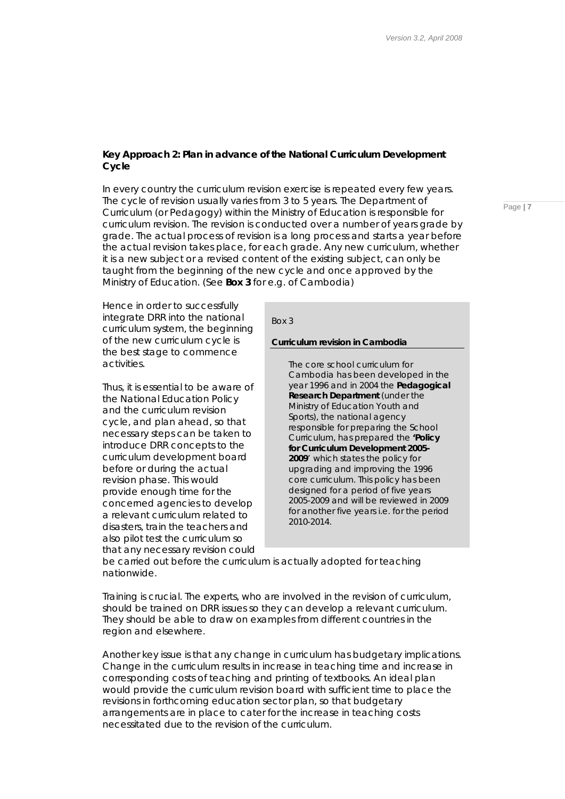### **Key Approach 2: Plan in advance of the National Curriculum Development Cycle**

In every country the curriculum revision exercise is repeated every few years. The cycle of revision usually varies from 3 to 5 years. The Department of Curriculum (or Pedagogy) within the Ministry of Education is responsible for curriculum revision. The revision is conducted over a number of years grade by grade. The actual process of revision is a long process and starts a year before the actual revision takes place, for each grade. Any new curriculum, whether it is a new subject or a revised content of the existing subject, can only be taught from the beginning of the new cycle and once approved by the Ministry of Education. (See *Box 3* for e.g. of Cambodia)

Hence in order to successfully integrate DRR into the national curriculum system, the beginning of the new curriculum cycle is the best stage to commence activities.

Thus, it is essential to be aware of the National Education Policy and the curriculum revision cycle, and plan ahead, so that necessary steps can be taken to introduce DRR concepts to the curriculum development board before or during the actual revision phase. This would provide enough time for the concerned agencies to develop a relevant curriculum related to disasters, train the teachers and also pilot test the curriculum so that any necessary revision could

### *Box 3*

### *Curriculum revision in Cambodia*

The core school curriculum for Cambodia has been developed in the year 1996 and in 2004 the *Pedagogical Research Department* (under the Ministry of Education Youth and Sports), the national agency responsible for preparing the School Curriculum, has prepared the *'Policy for Curriculum Development 2005- 2009*' which states the policy for upgrading and improving the 1996 core curriculum. This policy has been designed for a period of five years 2005-2009 and will be reviewed in 2009 for another five years i.e. for the period 2010-2014.

be carried out before the curriculum is actually adopted for teaching nationwide.

Training is crucial. The experts, who are involved in the revision of curriculum, should be trained on DRR issues so they can develop a relevant curriculum. They should be able to draw on examples from different countries in the region and elsewhere.

Another key issue is that any change in curriculum has budgetary implications. Change in the curriculum results in increase in teaching time and increase in corresponding costs of teaching and printing of textbooks. An ideal plan would provide the curriculum revision board with sufficient time to place the revisions in forthcoming education sector plan, so that budgetary arrangements are in place to cater for the increase in teaching costs necessitated due to the revision of the curriculum.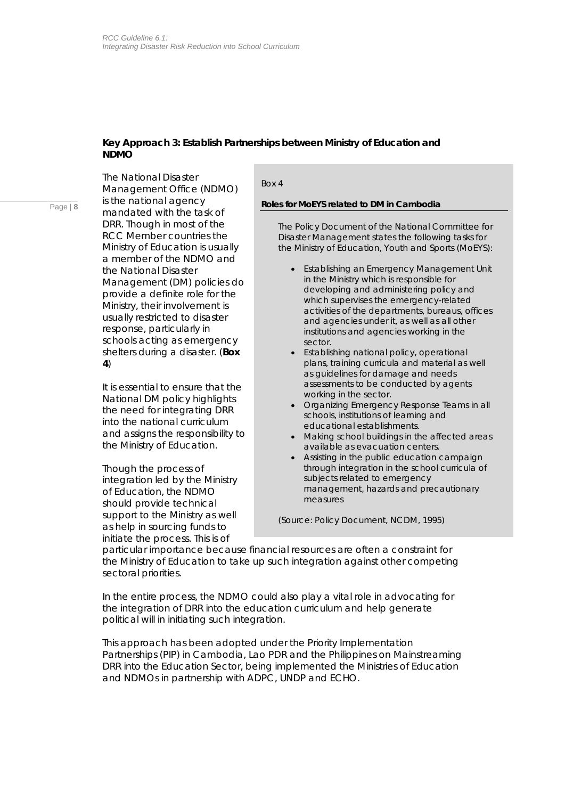### **Key Approach 3: Establish Partnerships between Ministry of Education and NDMO**

The National Disaster Management Office (NDMO) is the national agency mandated with the task of DRR. Though in most of the RCC Member countries the Ministry of Education is usually a member of the NDMO and the National Disaster Management (DM) policies do provide a definite role for the Ministry, their involvement is usually restricted to disaster response, particularly in schools acting as emergency shelters during a disaster. (*Box 4*)

It is essential to ensure that the National DM policy highlights the need for integrating DRR into the national curriculum and assigns the responsibility to the Ministry of Education.

Though the process of integration led by the Ministry of Education, the NDMO should provide technical support to the Ministry as well as help in sourcing funds to initiate the process. This is of

### *Box 4*

### *Roles for MoEYS related to DM in Cambodia*

The Policy Document of the National Committee for Disaster Management states the following tasks for the Ministry of Education, Youth and Sports (MoEYS):

- Establishing an Emergency Management Unit in the Ministry which is responsible for developing and administering policy and which supervises the emergency-related activities of the departments, bureaus, offices and agencies under it, as well as all other institutions and agencies working in the sector.
- Establishing national policy, operational plans, training curricula and material as well as guidelines for damage and needs assessments to be conducted by agents working in the sector.
- Organizing Emergency Response Teams in all schools, institutions of learning and educational establishments.
- Making school buildings in the affected areas available as evacuation centers.
- Assisting in the public education campaign through integration in the school curricula of subjects related to emergency management, hazards and precautionary measures

*(Source: Policy Document, NCDM, 1995)* 

particular importance because financial resources are often a constraint for the Ministry of Education to take up such integration against other competing sectoral priorities.

In the entire process, the NDMO could also play a vital role in advocating for the integration of DRR into the education curriculum and help generate *political will* in initiating such integration.

This approach has been adopted under the Priority Implementation Partnerships (PIP) in Cambodia, Lao PDR and the Philippines on Mainstreaming DRR into the Education Sector, being implemented the Ministries of Education and NDMOs in partnership with ADPC, UNDP and ECHO.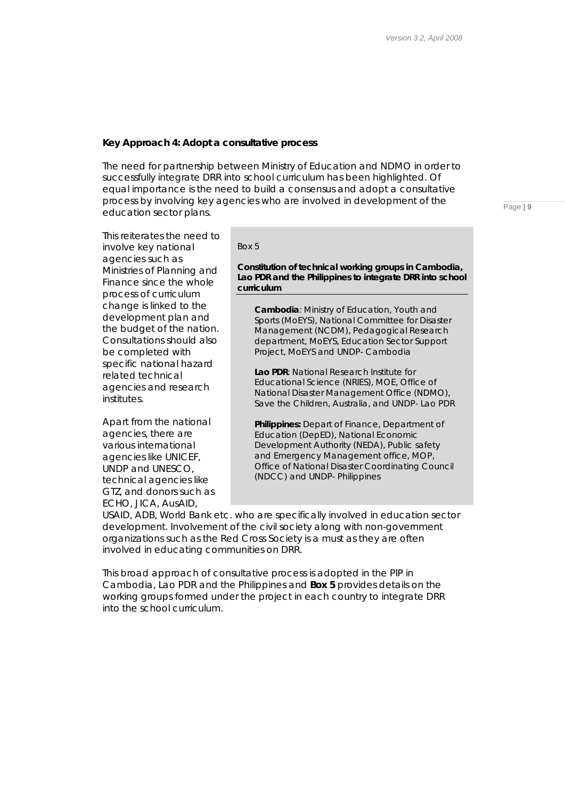### **Key Approach 4: Adopt a consultative process**

The need for partnership between Ministry of Education and NDMO in order to successfully integrate DRR into school curriculum has been highlighted. Of equal importance is the need to build a consensus and adopt a consultative process by involving key agencies who are involved in development of the education sector plans.

This reiterates the need to involve key national agencies such as Ministries of Planning and Finance since the whole process of curriculum change is linked to the development plan and the budget of the nation. Consultations should also be completed with specific national hazard related technical agencies and research institutes.

Apart from the national agencies, there are various international agencies like UNICEF, UNDP and UNESCO, technical agencies like GTZ, and donors such as ECHO, JICA, AusAID,

*Box 5* 

*Constitution of technical working groups in Cambodia, Lao PDR and the Philippines to integrate DRR into school curriculum* 

**Cambodia**: Ministry of Education, Youth and Sports (MoEYS), National Committee for Disaster Management (NCDM), Pedagogical Research department, MoEYS, Education Sector Support Project, MoEYS and UNDP- Cambodia

**Lao PDR**: National Research Institute for Educational Science (NRIES), MOE, Office of *National Disaster Management Office* (NDMO), Save the Children, Australia, and UNDP- Lao PDR

**Philippines:** Depart of Finance, Department of Education (DepED), National Economic Development Authority (NEDA), Public safety and Emergency Management office, MOP, Office of National Disaster Coordinating Council (NDCC) and UNDP- Philippines

USAID, ADB, World Bank etc. who are specifically involved in education sector development. Involvement of the civil society along with non-government organizations such as the Red Cross Society is a must as they are often involved in educating communities on DRR.

This broad approach of consultative process is adopted in the PIP in Cambodia, Lao PDR and the Philippines and *Box 5* provides details on the working groups formed under the project in each country to integrate DRR into the school curriculum.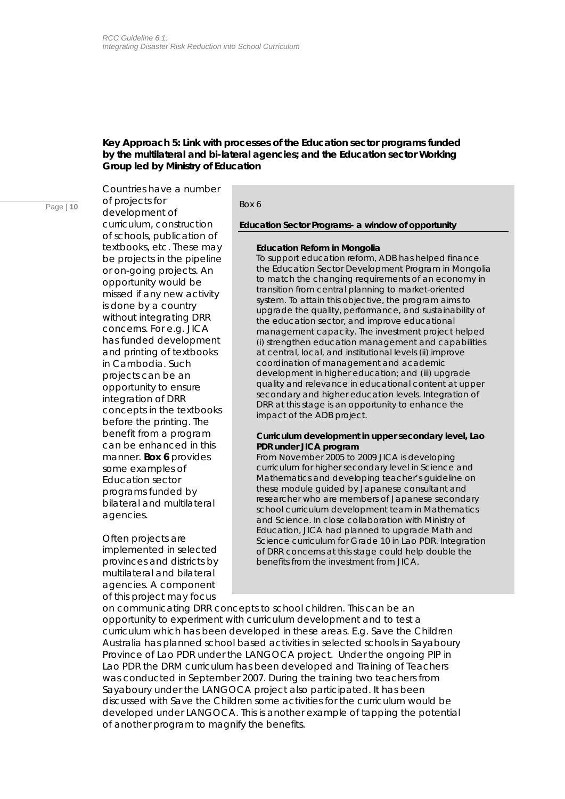### **Key Approach 5: Link with processes of the Education sector programs funded by the multilateral and bi-lateral agencies; and the Education sector Working Group led by Ministry of Education**

Page | **10** *Box 6*  of projects for Countries have a number development of curriculum, construction of schools, publication of textbooks, etc. These may be projects in the pipeline or on-going projects. An opportunity would be missed if any new activity is done by a country without integrating DRR concerns. For e.g. JICA has funded development and printing of textbooks in Cambodia. Such projects can be an opportunity to ensure integration of DRR concepts in the textbooks before the printing. The benefit from a program can be enhanced in this manner. *Box 6* provides some examples of Education sector programs funded by bilateral and multilateral agencies.

> Often projects are implemented in selected provinces and districts by multilateral and bilateral agencies. A component of this project may focus

*Education Sector Programs- a window of opportunity*

### **Education Reform in Mongolia**

To support education reform, ADB has helped finance the Education Sector Development Program in Mongolia to match the changing requirements of an economy in transition from central planning to market-oriented system. To attain this objective, the program aims to upgrade the quality, performance, and sustainability of the education sector, and improve educational management capacity. The investment project helped (i) strengthen education management and capabilities at central, local, and institutional levels (ii) improve coordination of management and academic development in higher education; and (iii) upgrade quality and relevance in educational content at upper secondary and higher education levels. Integration of DRR at this stage is an opportunity to enhance the impact of the ADB project.

### **Curriculum development in upper secondary level, Lao PDR under JICA program**

From November 2005 to 2009 JICA is developing curriculum for higher secondary level in Science and Mathematics and developing teacher's guideline on these module guided by Japanese consultant and researcher who are members of Japanese secondary school curriculum development team in Mathematics and Science. In close collaboration with Ministry of Education, JICA had planned to upgrade Math and Science curriculum for Grade 10 in Lao PDR. Integration of DRR concerns at this stage could help double the benefits from the investment from JICA.

on communicating DRR concepts to school children. This can be an opportunity to experiment with curriculum development and to test a curriculum which has been developed in these areas. E.g. Save the Children Australia has planned school based activities in selected schools in Sayaboury Province of Lao PDR under the LANGOCA project. Under the ongoing PIP in Lao PDR the DRM curriculum has been developed and Training of Teachers was conducted in September 2007. During the training two teachers from Sayaboury under the LANGOCA project also participated. It has been discussed with Save the Children some activities for the curriculum would be developed under LANGOCA. This is another example of tapping the potential of another program to magnify the benefits.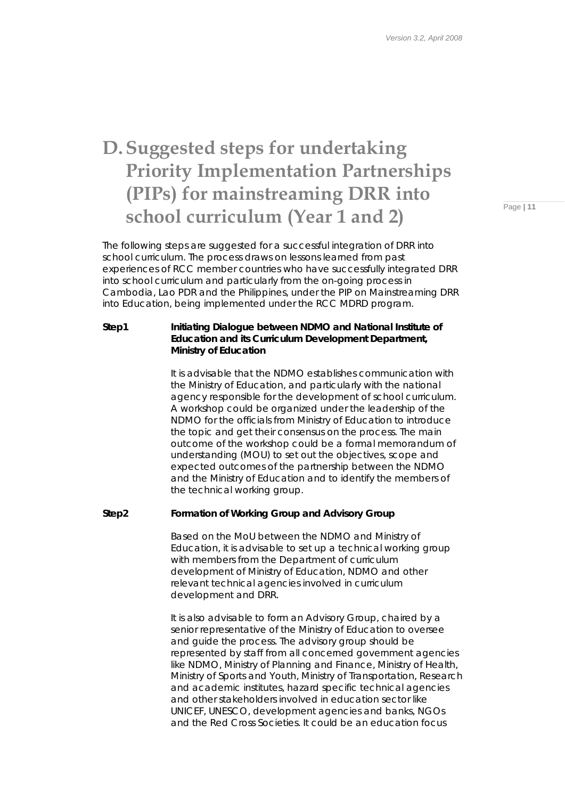## **D. Suggested steps for undertaking Priority Implementation Partnerships (PIPs) for mainstreaming DRR into school curriculum (Year 1 and 2)**

The following steps are suggested for a successful integration of DRR into school curriculum. The process draws on lessons learned from past experiences of RCC member countries who have successfully integrated DRR into school curriculum and particularly from the on-going process in Cambodia, Lao PDR and the Philippines, under the PIP on Mainstreaming DRR into Education, being implemented under the RCC MDRD program.

### **Step1 Initiating Dialogue between NDMO and National Institute of Education and its Curriculum Development Department, Ministry of Education**

It is advisable that the NDMO establishes communication with the Ministry of Education, and particularly with the national agency responsible for the development of school curriculum. A workshop could be organized under the leadership of the NDMO for the officials from Ministry of Education to introduce the topic and get their consensus on the process. The main outcome of the workshop could be a formal memorandum of understanding (MOU) to set out the objectives, scope and expected outcomes of the partnership between the NDMO and the Ministry of Education and to identify the members of the technical working group.

### **Step2 Formation of Working Group and Advisory Group**

Based on the MoU between the NDMO and Ministry of Education, it is advisable to set up a technical working group with members from the Department of curriculum development of Ministry of Education, NDMO and other relevant technical agencies involved in curriculum development and DRR.

It is also advisable to form an Advisory Group, chaired by a senior representative of the Ministry of Education to oversee and guide the process. The advisory group should be represented by staff from all concerned government agencies like NDMO, Ministry of Planning and Finance, Ministry of Health, Ministry of Sports and Youth, Ministry of Transportation, Research and academic institutes, hazard specific technical agencies and other stakeholders involved in education sector like UNICEF, UNESCO, development agencies and banks, NGOs and the Red Cross Societies. It could be an education focus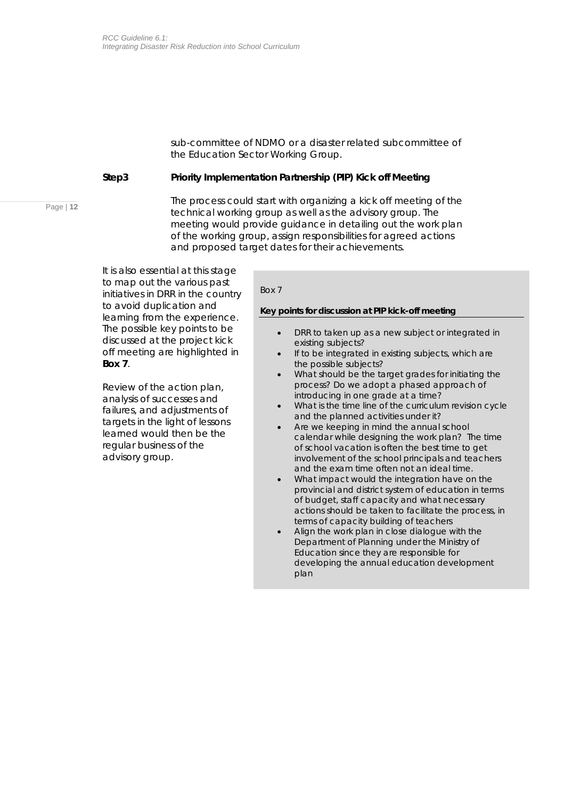sub-committee of NDMO or a disaster related subcommittee of the Education Sector Working Group.

### **Step3 Priority Implementation Partnership (PIP) Kick off Meeting**

The process could start with organizing a kick off meeting of the technical working group as well as the advisory group. The meeting would provide guidance in detailing out the work plan of the working group, assign responsibilities for agreed actions and proposed target dates for their achievements.

It is also essential at this stage to map out the various past initiatives in DRR in the country to avoid duplication and learning from the experience. The possible key points to be discussed at the project kick off meeting are highlighted in *Box 7*.

Review of the action plan, analysis of successes and failures, and adjustments of targets in the light of lessons learned would then be the regular business of the advisory group.

### *Box 7*

### *Key points for discussion at PIP kick-off meeting*

- DRR to taken up as a new subject or integrated in existing subjects?
- If to be integrated in existing subjects, which are the possible subjects?
- What should be the target grades for initiating the process? Do we adopt a phased approach of introducing in one grade at a time?
- What is the time line of the curriculum revision cycle and the planned activities under it?
- Are we keeping in mind the annual school calendar while designing the work plan? The time of school vacation is often the best time to get involvement of the school principals and teachers and the exam time often not an ideal time.
- What impact would the integration have on the provincial and district system of education in terms of budget, staff capacity and what necessary actions should be taken to facilitate the process, in terms of capacity building of teachers
- Align the work plan in close dialogue with the Department of Planning under the Ministry of Education since they are responsible for developing the annual education development plan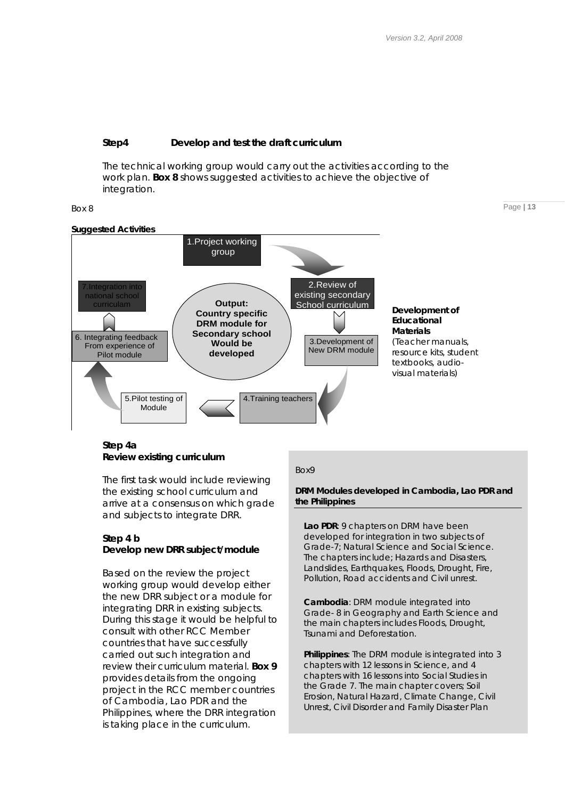### **Step4 Develop and test the draft curriculum**

The technical working group would carry out the activities according to the work plan. *Box 8* shows suggested activities to achieve the objective of integration.





### **Step 4a Review existing curriculum**

The first task would include reviewing the existing school curriculum and arrive at a consensus on which grade and subjects to integrate DRR.

### **Step 4 b Develop new DRR subject/module**

Based on the review the project working group would develop either the new DRR subject or a module for integrating DRR in existing subjects. During this stage it would be helpful to consult with other RCC Member countries that have successfully carried out such integration and review their curriculum material. *Box 9* provides details from the ongoing project in the RCC member countries of Cambodia, Lao PDR and the Philippines, where the DRR integration is taking place in the curriculum.

### *Box9*

*DRM Modules developed in Cambodia, Lao PDR and the Philippines* 

**Lao PDR**: 9 chapters on DRM have been developed for integration in two subjects of Grade-7; Natural Science and Social Science. The chapters include; Hazards and Disasters, Landslides, Earthquakes, Floods, Drought, Fire, Pollution, Road accidents and Civil unrest.

**Cambodia**: DRM module integrated into Grade- 8 in Geography and Earth Science and the main chapters includes Floods, Drought, Tsunami and Deforestation.

**Philippines**: The DRM module is integrated into 3 chapters with 12 lessons in Science, and 4 chapters with 16 lessons into Social Studies in the Grade 7. The main chapter covers; Soil Erosion, Natural Hazard, Climate Change, Civil Unrest, Civil Disorder and Family Disaster Plan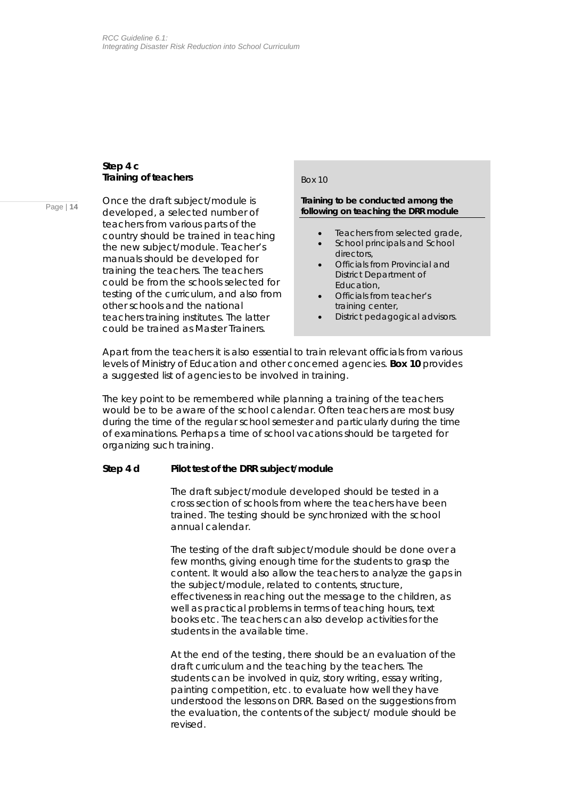### **Step 4 c Training of teachers**

Page | **14**

Once the draft subject/module is developed, a selected number of teachers from various parts of the country should be trained in teaching the new subject/module. Teacher's manuals should be developed for training the teachers. The teachers could be from the schools selected for testing of the curriculum, and also from other schools and the national teachers training institutes. The latter could be trained as Master Trainers.

### *Box 10*

### *Training to be conducted among the following on teaching the DRR module*

- Teachers from selected grade,
- School principals and School directors,
- Officials from Provincial and District Department of Education,
- Officials from teacher's training center,
- District pedagogical advisors.

Apart from the teachers it is also essential to train relevant officials from various levels of Ministry of Education and other concerned agencies. *Box 10* provides a suggested list of agencies to be involved in training.

The key point to be remembered while planning a training of the teachers would be to be aware of the school calendar. Often teachers are most busy during the time of the regular school semester and particularly during the time of examinations. Perhaps a time of school vacations should be targeted for organizing such training.

### **Step 4 d Pilot test of the DRR subject/module**

The draft subject/module developed should be tested in a cross section of schools from where the teachers have been trained. The testing should be synchronized with the school annual calendar.

The testing of the draft subject/module should be done over a few months, giving enough time for the students to grasp the content. It would also allow the teachers to analyze the gaps in the subject/module, related to contents, structure, effectiveness in reaching out the message to the children, as well as practical problems in terms of teaching hours, text books etc. The teachers can also develop activities for the students in the available time.

At the end of the testing, there should be an evaluation of the draft curriculum and the teaching by the teachers. The students can be involved in quiz, story writing, essay writing, painting competition, etc. to evaluate how well they have understood the lessons on DRR. Based on the suggestions from the evaluation, the contents of the subject/ module should be revised.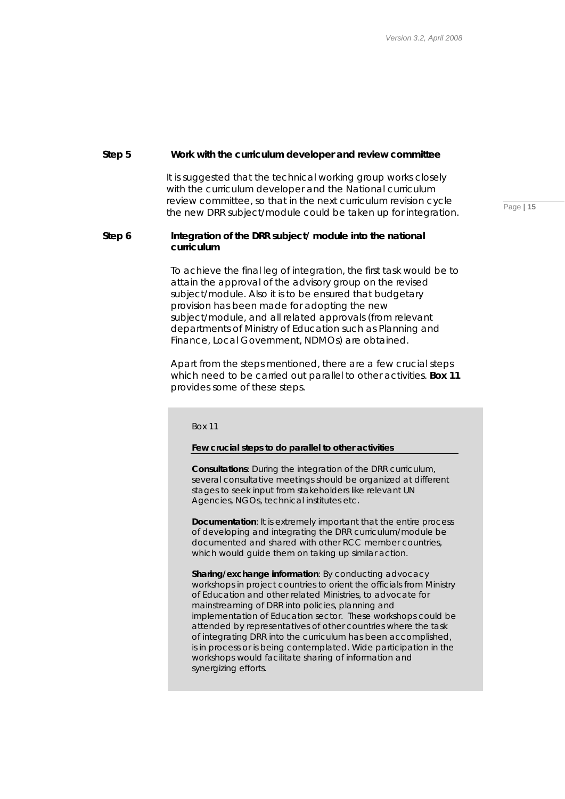### **Step 5 Work with the curriculum developer and review committee**

It is suggested that the technical working group works closely with the curriculum developer and the National curriculum review committee, so that in the next curriculum revision cycle the new DRR subject/module could be taken up for integration.

### Step 6 **Integration of the DRR subject/ module into the national curriculum**

To achieve the final leg of integration, the first task would be to attain the approval of the advisory group on the revised subject/module. Also it is to be ensured that budgetary provision has been made for adopting the new subject/module, and all related approvals (from relevant departments of Ministry of Education such as Planning and Finance, Local Government, NDMOs) are obtained.

Apart from the steps mentioned, there are a few crucial steps which need to be carried out parallel to other activities. *Box 11* provides some of these steps.

*Box 11* 

### *Few crucial steps to do parallel to other activities*

**Consultations**: During the integration of the DRR curriculum, several consultative meetings should be organized at different stages to seek input from stakeholders like relevant UN Agencies, NGOs, technical institutes etc.

**Documentation**: It is extremely important that the entire process of developing and integrating the DRR curriculum/module be documented and shared with other RCC member countries, which would guide them on taking up similar action.

**Sharing/exchange information**: By conducting advocacy workshops in project countries to orient the officials from Ministry of Education and other related Ministries, to advocate for mainstreaming of DRR into policies, planning and implementation of Education sector. These workshops could be attended by representatives of other countries where the task of integrating DRR into the curriculum has been accomplished, is in process or is being contemplated. Wide participation in the workshops would facilitate sharing of information and synergizing efforts.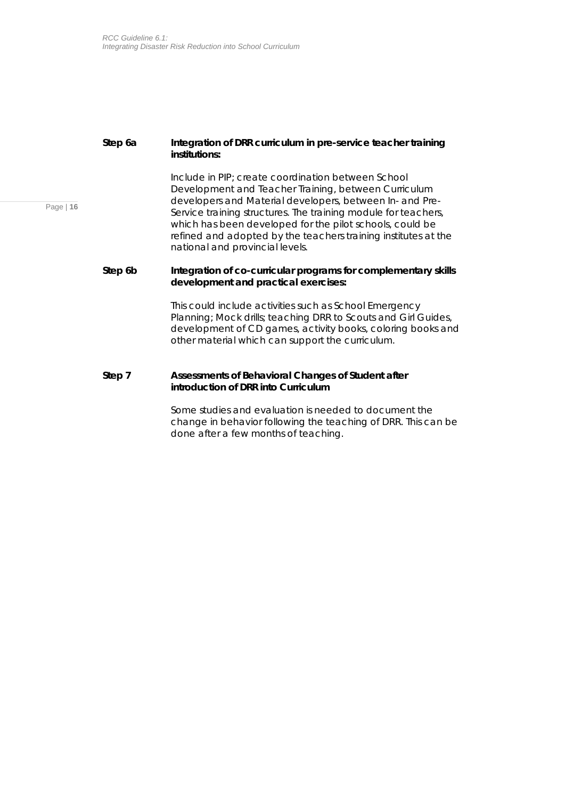### **Step 6a Integration of DRR curriculum in pre-service teacher training institutions:**

Include in PIP; create coordination between School Development and Teacher Training, between Curriculum developers and Material developers, between In- and Pre-Service training structures. The training module for teachers, which has been developed for the pilot schools, could be refined and adopted by the teachers training institutes at the national and provincial levels.

### **Step 6b Integration of co-curricular programs for complementary skills development and practical exercises:**

This could include activities such as School Emergency Planning; Mock drills; teaching DRR to Scouts and Girl Guides, development of CD games, activity books, coloring books and other material which can support the curriculum.

### **Step 7 Assessments of Behavioral Changes of Student after introduction of DRR into Curriculum**

Some studies and evaluation is needed to document the change in behavior following the teaching of DRR. This can be done after a few months of teaching.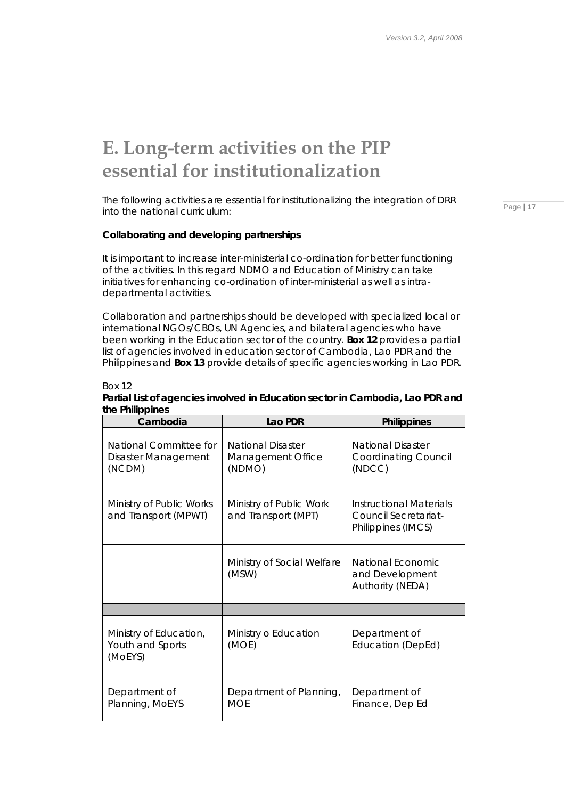## **E. Long-term activities on the PIP essential for institutionalization**

The following activities are essential for institutionalizing the integration of DRR into the national curriculum:

### **Collaborating and developing partnerships**

*Box 12* 

It is important to increase inter-ministerial co-ordination for better functioning of the activities. In this regard NDMO and Education of Ministry can take initiatives for enhancing co-ordination of inter-ministerial as well as intradepartmental activities.

Collaboration and partnerships should be developed with specialized local or international NGOs/CBOs, UN Agencies, and bilateral agencies who have been working in the Education sector of the country. *Box 12* provides a partial list of agencies involved in education sector of Cambodia, Lao PDR and the Philippines and *Box 13* provide details of specific agencies working in Lao PDR.

| Cambodia                                                | Lao PDR                                                 | <b>Philippines</b>                                                    |
|---------------------------------------------------------|---------------------------------------------------------|-----------------------------------------------------------------------|
| National Committee for<br>Disaster Management<br>(NCDM) | <b>National Disaster</b><br>Management Office<br>(NDMO) | <b>National Disaster</b><br><b>Coordinating Council</b><br>(NDCC)     |
| Ministry of Public Works<br>and Transport (MPWT)        | Ministry of Public Work<br>and Transport (MPT)          | Instructional Materials<br>Council Secretariat-<br>Philippines (IMCS) |
|                                                         | Ministry of Social Welfare<br>(MSW)                     | National Economic<br>and Development<br>Authority (NEDA)              |
|                                                         |                                                         |                                                                       |
| Ministry of Education,<br>Youth and Sports<br>(MOEYS)   | Ministry o Education<br>(MOE)                           | Department of<br>Education (DepEd)                                    |
| Department of<br>Planning, MoEYS                        | Department of Planning,<br><b>MOE</b>                   |                                                                       |

### *Partial List of agencies involved in Education sector in Cambodia, Lao PDR and the Philippines*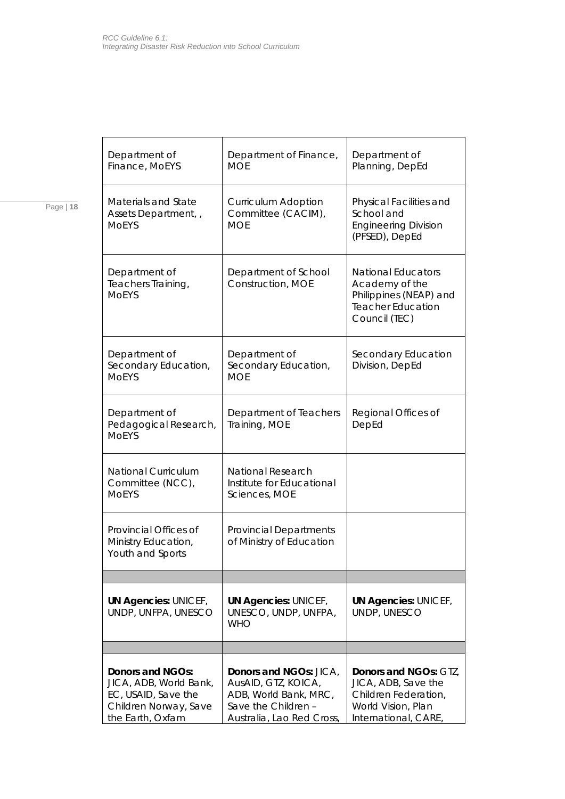|--|--|

| Department of<br>Finance, MoEYS                                                                                               | Department of Finance,<br><b>MOF</b>                                                                                              | Department of<br>Planning, DepEd                                                                                          |  |
|-------------------------------------------------------------------------------------------------------------------------------|-----------------------------------------------------------------------------------------------------------------------------------|---------------------------------------------------------------------------------------------------------------------------|--|
| Materials and State<br>Assets Department, ,<br><b>MOEYS</b>                                                                   | <b>Curriculum Adoption</b><br>Committee (CACIM),<br><b>MOE</b>                                                                    | Physical Facilities and<br>School and<br><b>Engineering Division</b><br>(PFSED), DepEd                                    |  |
| Department of<br>Teachers Training,<br><b>MOFYS</b>                                                                           | Department of School<br>Construction, MOE                                                                                         | <b>National Educators</b><br>Academy of the<br>Philippines (NEAP) and<br><b>Teacher Education</b><br>Council (TEC)        |  |
| Department of<br>Secondary Education,<br><b>MOEYS</b>                                                                         | Department of<br>Secondary Education,<br><b>MOE</b>                                                                               | Secondary Education<br>Division, DepEd                                                                                    |  |
| Department of<br>Pedagogical Research,<br><b>MOEYS</b>                                                                        | Department of Teachers<br>Training, MOE                                                                                           | Regional Offices of<br>DepEd                                                                                              |  |
| <b>National Curriculum</b><br>Committee (NCC),<br><b>MOEYS</b>                                                                | National Research<br>Institute for Educational<br>Sciences, MOE                                                                   |                                                                                                                           |  |
| Provincial Offices of<br><b>Provincial Departments</b><br>of Ministry of Education<br>Ministry Education,<br>Youth and Sports |                                                                                                                                   |                                                                                                                           |  |
|                                                                                                                               |                                                                                                                                   |                                                                                                                           |  |
| <b>UN Agencies: UNICEF,</b><br>UNDP, UNFPA, UNESCO                                                                            | <b>UN Agencies: UNICEF,</b><br>UNESCO, UNDP, UNFPA,<br><b>WHO</b>                                                                 | <b>UN Agencies: UNICEF,</b><br>UNDP, UNESCO                                                                               |  |
|                                                                                                                               |                                                                                                                                   |                                                                                                                           |  |
| Donors and NGOs:<br>JICA, ADB, World Bank,<br>EC, USAID, Save the<br>Children Norway, Save<br>the Earth, Oxfam                | <b>Donors and NGOs: JICA,</b><br>AusAID, GTZ, KOICA,<br>ADB, World Bank, MRC,<br>Save the Children -<br>Australia, Lao Red Cross, | <b>Donors and NGOs: GTZ,</b><br>JICA, ADB, Save the<br>Children Federation,<br>World Vision, Plan<br>International, CARE, |  |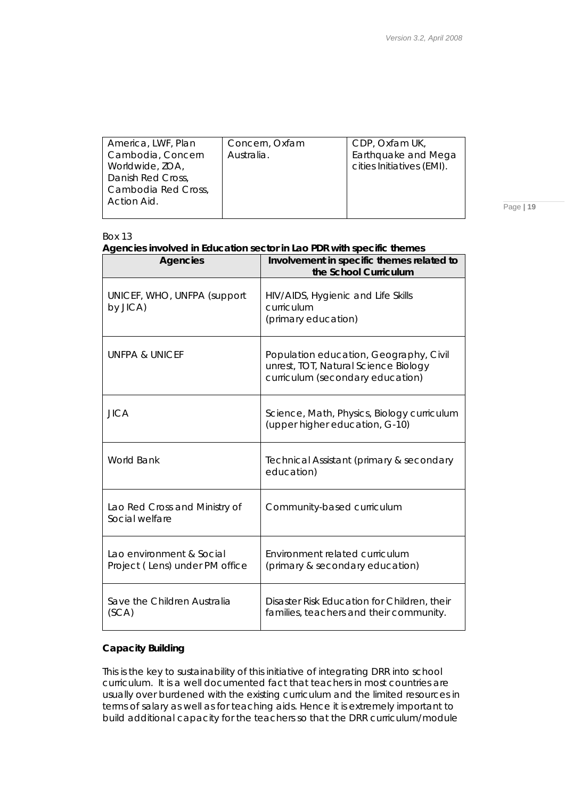| America, LWF, Plan  | Concern, Oxfam | CDP, Oxfam UK,            |
|---------------------|----------------|---------------------------|
| Cambodia, Concern   | Australia.     | Earthquake and Mega       |
| Worldwide, ZOA,     |                | cities Initiatives (EMI). |
| Danish Red Cross,   |                |                           |
| Cambodia Red Cross, |                |                           |
| Action Aid.         |                |                           |
|                     |                |                           |

### *Box 13*

### *Agencies involved in Education sector in Lao PDR with specific themes*

| <b>Agencies</b>                                            | Involvement in specific themes related to<br>the School Curriculum                                                 |
|------------------------------------------------------------|--------------------------------------------------------------------------------------------------------------------|
| UNICEF, WHO, UNFPA (support<br>by JICA)                    | HIV/AIDS, Hygienic and Life Skills<br>curriculum<br>(primary education)                                            |
| UNFPA & UNICEF                                             | Population education, Geography, Civil<br>unrest, TOT, Natural Science Biology<br>curriculum (secondary education) |
| <b>JICA</b>                                                | Science, Math, Physics, Biology curriculum<br>(upper higher education, G-10)                                       |
| <b>World Bank</b>                                          | Technical Assistant (primary & secondary<br>education)                                                             |
| Lao Red Cross and Ministry of<br>Social welfare            | Community-based curriculum                                                                                         |
| Lao environment & Social<br>Project (Lens) under PM office | Environment related curriculum<br>(primary & secondary education)                                                  |
| Save the Children Australia<br>(SCA)                       | Disaster Risk Education for Children, their<br>families, teachers and their community.                             |

### **Capacity Building**

This is the key to sustainability of this initiative of integrating DRR into school curriculum. It is a well documented fact that teachers in most countries are usually over burdened with the existing curriculum and the limited resources in terms of salary as well as for teaching aids. Hence it is extremely important to build additional capacity for the teachers so that the DRR curriculum/module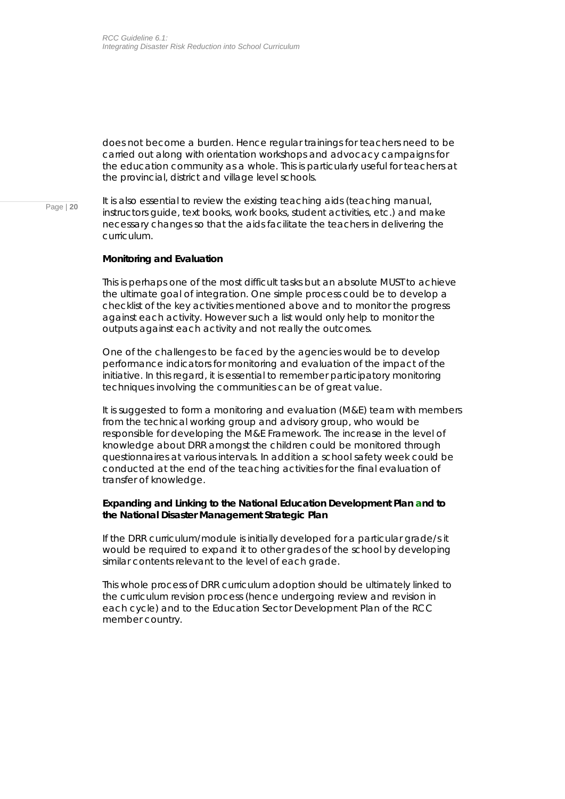does not become a burden. Hence regular trainings for teachers need to be carried out along with orientation workshops and advocacy campaigns for the education community as a whole. This is particularly useful for teachers at the provincial, district and village level schools.

Page | **20** It is also essential to review the existing teaching aids (teaching manual, instructors guide, text books, work books, student activities, etc.) and make necessary changes so that the aids facilitate the teachers in delivering the curriculum.

### **Monitoring and Evaluation**

This is perhaps one of the most difficult tasks but an absolute MUST to achieve the ultimate goal of integration. One simple process could be to develop a checklist of the key activities mentioned above and to monitor the progress against each activity. However such a list would only help to monitor the outputs against each activity and not really the outcomes.

One of the challenges to be faced by the agencies would be to develop performance indicators for monitoring and evaluation of the impact of the initiative. In this regard, it is essential to remember participatory monitoring techniques involving the communities can be of great value.

It is suggested to form a monitoring and evaluation (M&E) team with members from the technical working group and advisory group, who would be responsible for developing the M&E Framework. The increase in the level of knowledge about DRR amongst the children could be monitored through questionnaires at various intervals. In addition a school safety week could be conducted at the end of the teaching activities for the final evaluation of transfer of knowledge.

### **Expanding and Linking to the National Education Development Plan and to the National Disaster Management Strategic Plan**

If the DRR curriculum/module is initially developed for a particular grade/s it would be required to expand it to other grades of the school by developing similar contents relevant to the level of each grade.

This whole process of DRR curriculum adoption should be ultimately linked to the curriculum revision process (hence undergoing review and revision in each cycle) and to the Education Sector Development Plan of the RCC member country.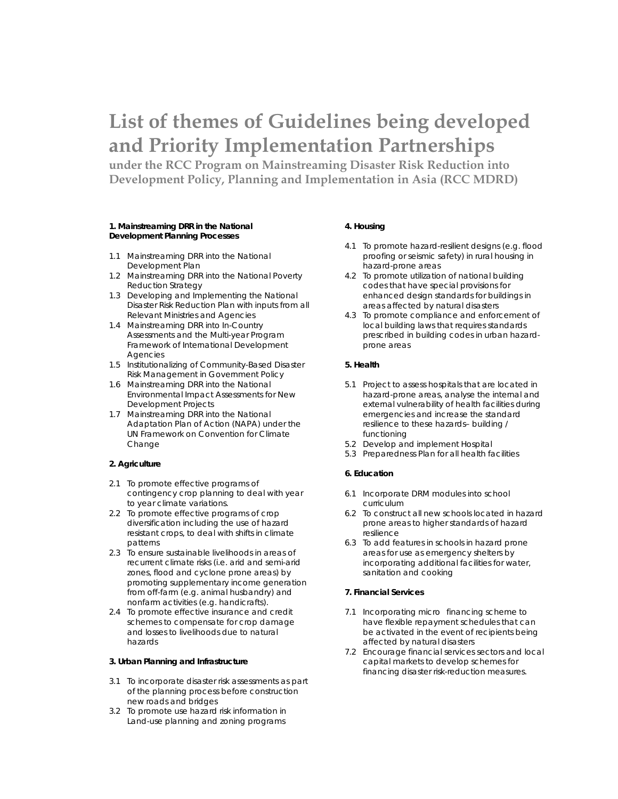## **List of themes of Guidelines being developed and Priority Implementation Partnerships**

**under the RCC Program on Mainstreaming Disaster Risk Reduction into Development Policy, Planning and Implementation in Asia (RCC MDRD)** 

### **1. Mainstreaming DRR in the National Development Planning Processes**

- 1.1 Mainstreaming DRR into the National Development Plan
- 1.2 Mainstreaming DRR into the National Poverty Reduction Strategy
- 1.3 Developing and Implementing the National Disaster Risk Reduction Plan with inputs from all Relevant Ministries and Agencies
- 1.4 Mainstreaming DRR into In-Country Assessments and the Multi-year Program Framework of International Development **Agencies**
- 1.5 Institutionalizing of Community-Based Disaster Risk Management in Government Policy
- 1.6 Mainstreaming DRR into the National Environmental Impact Assessments for New Development Projects
- 1.7 Mainstreaming DRR into the National Adaptation Plan of Action (NAPA) under the UN Framework on Convention for Climate Change

### **2. Agriculture**

- 2.1 To promote effective programs of contingency crop planning to deal with year to year climate variations.
- 2.2 To promote effective programs of crop diversification including the use of hazard resistant crops, to deal with shifts in climate patterns
- 2.3 To ensure sustainable livelihoods in areas of recurrent climate risks (i.e. arid and semi-arid zones, flood and cyclone prone areas) by promoting supplementary income generation from off-farm (e.g. animal husbandry) and nonfarm activities (e.g. handicrafts).
- 2.4 To promote effective insurance and credit schemes to compensate for crop damage and losses to livelihoods due to natural hazards

### **3. Urban Planning and Infrastructure**

- 3.1 To incorporate disaster risk assessments as part of the planning process before construction new roads and bridges
- 3.2 To promote use hazard risk information in Land-use planning and zoning programs

### **4. Housing**

- 4.1 To promote hazard-resilient designs (e.g. flood proofing or seismic safety) in rural housing in hazard-prone areas
- 4.2 To promote utilization of national building codes that have special provisions for enhanced design standards for buildings in areas affected by natural disasters
- 4.3 To promote compliance and enforcement of local building laws that requires standards prescribed in building codes in urban hazardprone areas

### **5. Health**

- 5.1 Project to assess hospitals that are located in hazard-prone areas, analyse the internal and external vulnerability of health facilities during emergencies and increase the standard resilience to these hazards– building / functioning
- 5.2 Develop and implement Hospital
- 5.3 Preparedness Plan for all health facilities

### **6. Education**

- 6.1 Incorporate DRM modules into school curriculum
- 6.2 To construct all new schools located in hazard prone areas to higher standards of hazard resilience
- 6.3 To add features in schools in hazard prone areas for use as emergency shelters by incorporating additional facilities for water, sanitation and cooking

### **7. Financial Services**

- 7.1 Incorporating micro financing scheme to have flexible repayment schedules that can be activated in the event of recipients being affected by natural disasters
- 7.2 Encourage financial services sectors and local capital markets to develop schemes for financing disaster risk-reduction measures.